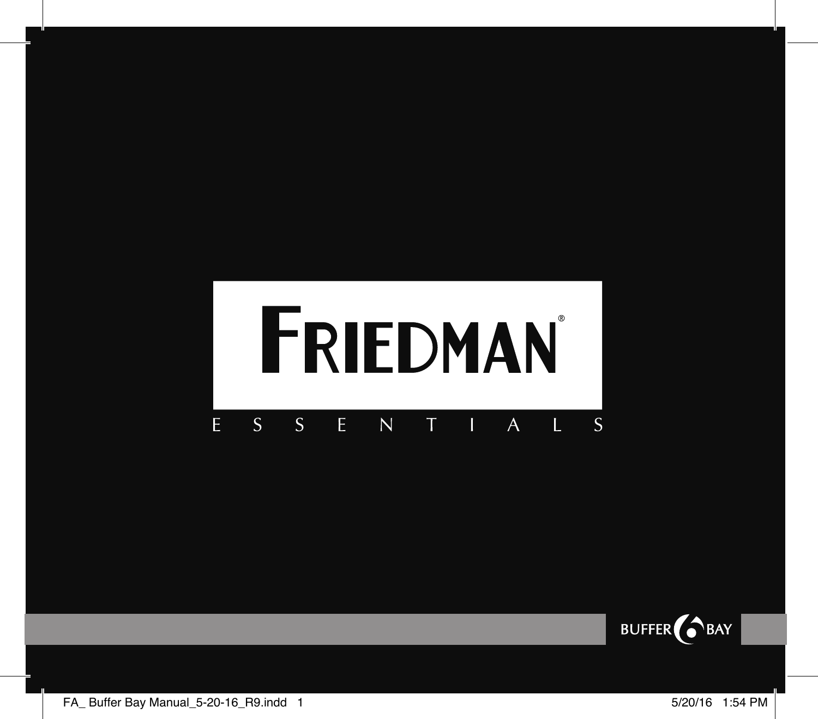#### FRIEDMAN F  $\mathcal{S}$  $\mathsf{S}$ F  $\overline{N}$ T  $\mathbf{L}$ S I A

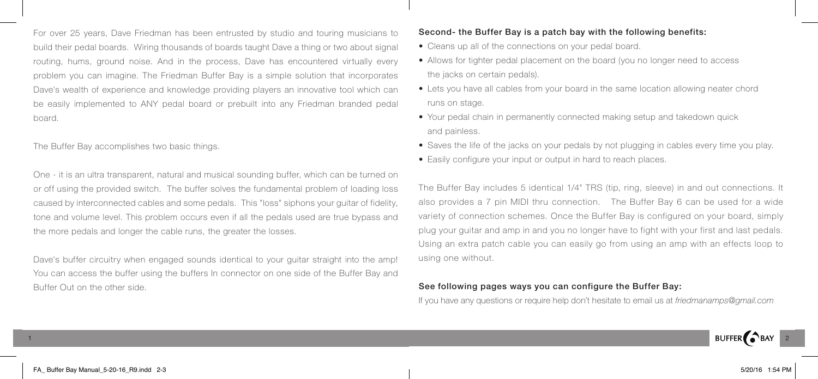For over 25 years, Dave Friedman has been entrusted by studio and touring musicians to build their pedal boards. Wiring thousands of boards taught Dave a thing or two about signal routing, hums, ground noise. And in the process, Dave has encountered virtually every problem you can imagine. The Friedman Buffer Bay is a simple solution that incorporates Dave's wealth of experience and knowledge providing players an innovative tool which can be easily implemented to ANY pedal board or prebuilt into any Friedman branded pedal board.

The Buffer Bay accomplishes two basic things.

One - it is an ultra transparent, natural and musical sounding buffer, which can be turned on or off using the provided switch. The buffer solves the fundamental problem of loading loss caused by interconnected cables and some pedals. This "loss" siphons your guitar of fidelity, tone and volume level. This problem occurs even if all the pedals used are true bypass and the more pedals and longer the cable runs, the greater the losses.

Dave's buffer circuitry when engaged sounds identical to your guitar straight into the amp! You can access the buffer using the buffers In connector on one side of the Buffer Bay and Buffer Out on the other side.

## Second- the Buffer Bay is a patch bay with the following benefits:

- Cleans up all of the connections on your pedal board.
- Allows for tighter pedal placement on the board (you no longer need to access the jacks on certain pedals).
- Lets you have all cables from your board in the same location allowing neater chord runs on stage.
- Your pedal chain in permanently connected making setup and takedown quick and painless.
- Saves the life of the jacks on your pedals by not plugging in cables every time you play.
- Easily configure your input or output in hard to reach places.

The Buffer Bay includes 5 identical 1/4" TRS (tip, ring, sleeve) in and out connections. It also provides a 7 pin MIDI thru connection. The Buffer Bay 6 can be used for a wide variety of connection schemes. Once the Buffer Bay is configured on your board, simply plug your guitar and amp in and you no longer have to fight with your first and last pedals. Using an extra patch cable you can easily go from using an amp with an effects loop to using one without.

## See following pages ways you can configure the Buffer Bay:

If you have any questions or require help don't hesitate to email us at *friedmanamps@gmail.com*

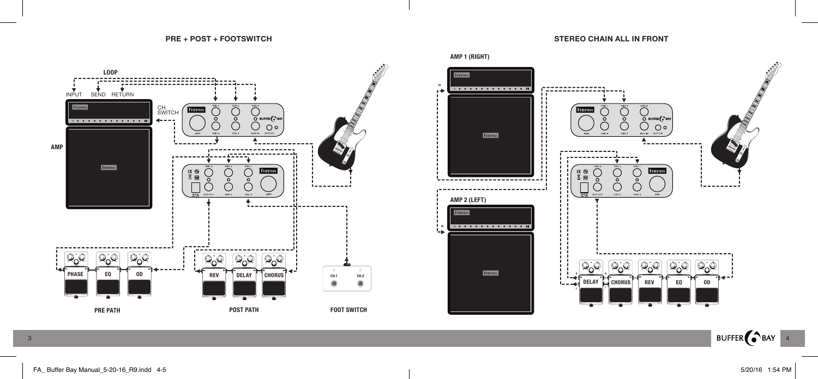**STEREO CHAIN ALL IN FRONT**





BUFFER BAY 4

3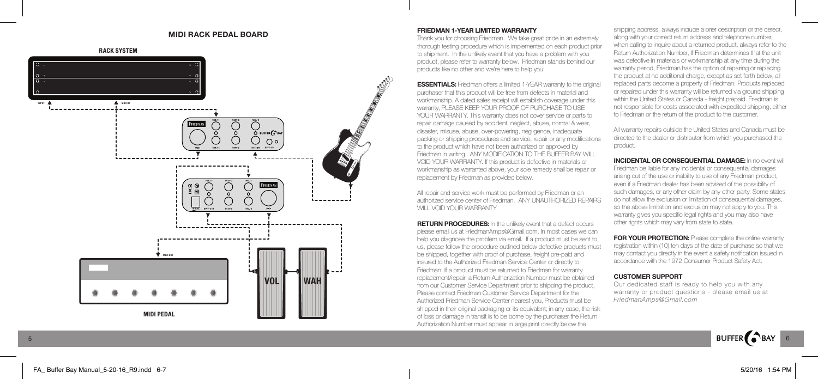### **MIDI RACK PEDAL BOARD**



#### **FRIEDMAN 1-YEAR LIMITED WARRANTY**

Thank you for choosing Friedman. We take great pride in an extremely thorough testing procedure which is implemented on each product prior to shipment. In the unlikely event that you have a problem with you product, please refer to warranty below. Friedman stands behind our products like no other and we're here to help you!

**ESSENTIALS:** Friedman offers a limited 1-YEAR warranty to the original purchaser that this product will be free from defects in material and workmanship. A dated sales receipt will establish coverage under this warranty, PLEASE KEEP YOUR PROOF OF PURCHASE TO USE YOUR WARRANTY. This warranty does not cover service or parts to repair damage caused by accident, neglect, abuse, normal & wear, disaster, misuse, abuse, over-powering, negligence, inadequate packing or shipping procedures and service, repair or any modifications to the product which have not been authorized or approved by Friedman in writing. ANY MODIFICATION TO THE BUFFER BAY WILL VOID YOUR WARRANTY. If this product is defective in materials or workmanship as warranted above, your sole remedy shall be repair or replacement by Friedman as provided below.

All repair and service work must be performed by Friedman or an authorized service center of Friedman. ANY UNAUTHORIZED REPAIRS WILL VOID YOUR WARRANTY.

**RETURN PROCEDURES:** In the unlikely event that a defect occurs please email us at FriedmanAmps@Gmail.com. In most cases we can help you diagnose the problem via email. If a product must be sent to us, please follow the procedure outlined below defective products must be shipped, together with proof of purchase, freight pre-paid and insured to the Authorized Friedman Service Center or directly to Friedman, If a product must be returned to Friedman for warranty replacement/repair, a Return Authorization Number must be obtained from our Customer Service Department prior to shipping the product, Please contact Friedman Customer Service Department for the Authorized Friedman Service Center nearest you, Products must be shipped in their original packaging or its equivalent; in any case, the risk of loss or damage in transit is to be borne by the purchaser the Return Authorization Number must appear in large print directly below the

shipping address, always include a brief description of the defect, along with your correct return address and telephone number, when calling to inquire about a returned product, always refer to the Return Authorization Number, If Friedman determines that the unit was defective in materials or workmanship at any time during the warranty period, Friedman has the option of repairing or replacing the product at no additional charge, except as set forth below, all replaced parts become a property of Friedman. Products replaced or repaired under this warranty will be returned via ground shipping within the United States or Canada - freight prepaid. Friedman is not responsible for costs associated with expedited shipping, either to Friedman or the return of the product to the customer.

All warranty repairs outside the United States and Canada must be directed to the dealer or distributor from which you purchased the product.

**INCIDENTAL OR CONSEQUENTIAL DAMAGE:** In no event will Friedman be liable for any incidental or consequential damages arising out of the use or inability to use of any Friedman product, even if a Friedman dealer has been advised of the possibility of such damages, or any other claim by any other party. Some states do not allow the exclusion or limitation of consequential damages, so the above limitation and exclusion may not apply to you. This warranty gives you specific legal rights and you may also have other rights which may vary from state to state.

**FOR YOUR PROTECTION:** Please complete the online warranty registration within (10) ten days of the date of purchase so that we may contact you directly in the event a safety notification issued in accordance with the 1972 Consumer Product Safety Act.

#### **CUSTOMER SUPPORT**

Our dedicated staff is ready to help you with any warranty or product questions - please email us at *FriedmanAmps@Gmail.com*